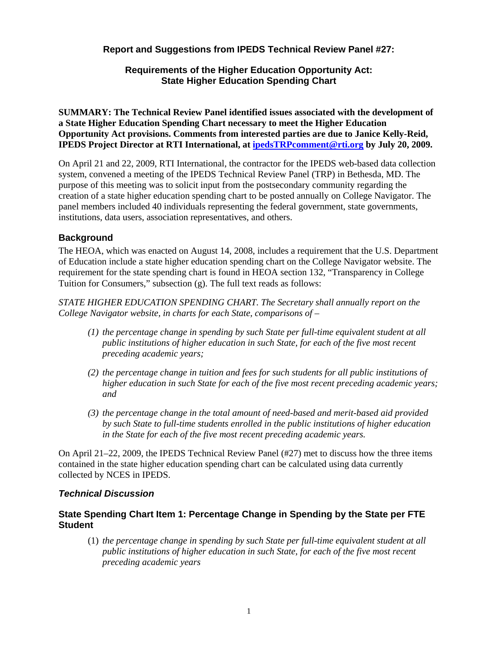## **Report and Suggestions from IPEDS Technical Review Panel #27:**

## **Requirements of the Higher Education Opportunity Act: State Higher Education Spending Chart**

**SUMMARY: The Technical Review Panel identified issues associated with the development of a State Higher Education Spending Chart necessary to meet the Higher Education Opportunity Act provisions. Comments from interested parties are due to Janice Kelly-Reid, IPEDS Project Director at RTI International, at ipedsTRPcomment@rti.org by July 20, 2009.** 

On April 21 and 22, 2009, RTI International, the contractor for the IPEDS web-based data collection system, convened a meeting of the IPEDS Technical Review Panel (TRP) in Bethesda, MD. The purpose of this meeting was to solicit input from the postsecondary community regarding the creation of a state higher education spending chart to be posted annually on College Navigator. The panel members included 40 individuals representing the federal government, state governments, institutions, data users, association representatives, and others.

## **Background**

The HEOA, which was enacted on August 14, 2008, includes a requirement that the U.S. Department of Education include a state higher education spending chart on the College Navigator website. The requirement for the state spending chart is found in HEOA section 132, "Transparency in College Tuition for Consumers," subsection (g). The full text reads as follows:

*STATE HIGHER EDUCATION SPENDING CHART. The Secretary shall annually report on the College Navigator website, in charts for each State, comparisons of –* 

- *(1) the percentage change in spending by such State per full-time equivalent student at all public institutions of higher education in such State, for each of the five most recent preceding academic years;*
- *(2) the percentage change in tuition and fees for such students for all public institutions of higher education in such State for each of the five most recent preceding academic years; and*
- *(3) the percentage change in the total amount of need-based and merit-based aid provided by such State to full-time students enrolled in the public institutions of higher education in the State for each of the five most recent preceding academic years.*

On April 21–22, 2009, the IPEDS Technical Review Panel (#27) met to discuss how the three items contained in the state higher education spending chart can be calculated using data currently collected by NCES in IPEDS.

## *Technical Discussion*

#### **State Spending Chart Item 1: Percentage Change in Spending by the State per FTE Student**

(1) *the percentage change in spending by such State per full-time equivalent student at all public institutions of higher education in such State, for each of the five most recent preceding academic years*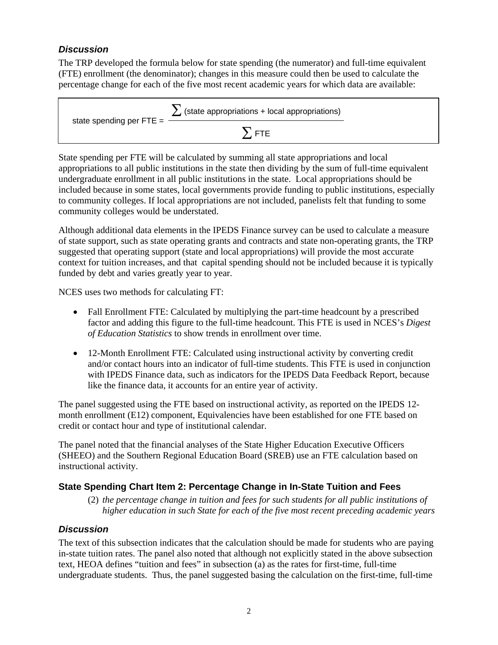## *Discussion*

The TRP developed the formula below for state spending (the numerator) and full-time equivalent (FTE) enrollment (the denominator); changes in this measure could then be used to calculate the percentage change for each of the five most recent academic years for which data are available:



State spending per FTE will be calculated by summing all state appropriations and local appropriations to all public institutions in the state then dividing by the sum of full-time equivalent undergraduate enrollment in all public institutions in the state. Local appropriations should be included because in some states, local governments provide funding to public institutions, especially to community colleges. If local appropriations are not included, panelists felt that funding to some community colleges would be understated.

Although additional data elements in the IPEDS Finance survey can be used to calculate a measure of state support, such as state operating grants and contracts and state non-operating grants, the TRP suggested that operating support (state and local appropriations) will provide the most accurate context for tuition increases, and that capital spending should not be included because it is typically funded by debt and varies greatly year to year.

NCES uses two methods for calculating FT:

- Fall Enrollment FTE: Calculated by multiplying the part-time headcount by a prescribed factor and adding this figure to the full-time headcount. This FTE is used in NCES's *Digest of Education Statistics* to show trends in enrollment over time.
- 12-Month Enrollment FTE: Calculated using instructional activity by converting credit and/or contact hours into an indicator of full-time students. This FTE is used in conjunction with IPEDS Finance data, such as indicators for the IPEDS Data Feedback Report, because like the finance data, it accounts for an entire year of activity.

The panel suggested using the FTE based on instructional activity, as reported on the IPEDS 12 month enrollment (E12) component, Equivalencies have been established for one FTE based on credit or contact hour and type of institutional calendar.

The panel noted that the financial analyses of the State Higher Education Executive Officers (SHEEO) and the Southern Regional Education Board (SREB) use an FTE calculation based on instructional activity.

# **State Spending Chart Item 2: Percentage Change in In-State Tuition and Fees**

(2) *the percentage change in tuition and fees for such students for all public institutions of higher education in such State for each of the five most recent preceding academic years* 

## *Discussion*

The text of this subsection indicates that the calculation should be made for students who are paying in-state tuition rates. The panel also noted that although not explicitly stated in the above subsection text, HEOA defines "tuition and fees" in subsection (a) as the rates for first-time, full-time undergraduate students. Thus, the panel suggested basing the calculation on the first-time, full-time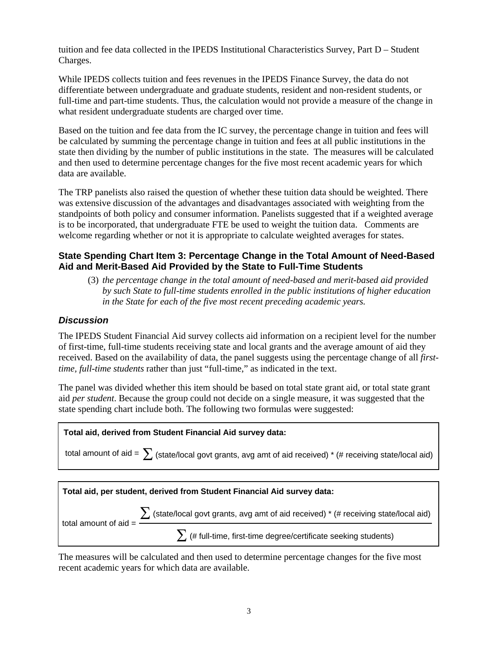tuition and fee data collected in the IPEDS Institutional Characteristics Survey, Part D – Student Charges.

While IPEDS collects tuition and fees revenues in the IPEDS Finance Survey, the data do not differentiate between undergraduate and graduate students, resident and non-resident students, or full-time and part-time students. Thus, the calculation would not provide a measure of the change in what resident undergraduate students are charged over time.

Based on the tuition and fee data from the IC survey, the percentage change in tuition and fees will be calculated by summing the percentage change in tuition and fees at all public institutions in the state then dividing by the number of public institutions in the state. The measures will be calculated and then used to determine percentage changes for the five most recent academic years for which data are available.

The TRP panelists also raised the question of whether these tuition data should be weighted. There was extensive discussion of the advantages and disadvantages associated with weighting from the standpoints of both policy and consumer information. Panelists suggested that if a weighted average is to be incorporated, that undergraduate FTE be used to weight the tuition data. Comments are welcome regarding whether or not it is appropriate to calculate weighted averages for states.

#### **State Spending Chart Item 3: Percentage Change in the Total Amount of Need-Based Aid and Merit-Based Aid Provided by the State to Full-Time Students**

(3) *the percentage change in the total amount of need-based and merit-based aid provided by such State to full-time students enrolled in the public institutions of higher education in the State for each of the five most recent preceding academic years.* 

#### *Discussion*

The IPEDS Student Financial Aid survey collects aid information on a recipient level for the number of first-time, full-time students receiving state and local grants and the average amount of aid they received. Based on the availability of data, the panel suggests using the percentage change of all *firsttime, full-time students* rather than just "full-time," as indicated in the text.

The panel was divided whether this item should be based on total state grant aid, or total state grant aid *per student*. Because the group could not decide on a single measure, it was suggested that the state spending chart include both. The following two formulas were suggested:

| Total aid, derived from Student Financial Aid survey data:                                                      |
|-----------------------------------------------------------------------------------------------------------------|
| total amount of aid = $\sum$ (state/local govt grants, avg amt of aid received) * (# receiving state/local aid) |

| Total aid, per student, derived from Student Financial Aid survey data: |                                                                                           |
|-------------------------------------------------------------------------|-------------------------------------------------------------------------------------------|
|                                                                         | $\sum$ (state/local govt grants, avg amt of aid received) * (# receiving state/local aid) |
| total amount of aid $=$ -                                               | $\sum$ (# full-time, first-time degree/certificate seeking students)                      |

The measures will be calculated and then used to determine percentage changes for the five most recent academic years for which data are available.